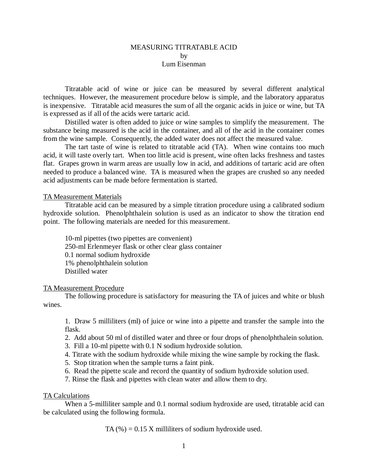### MEASURING TITRATABLE ACID by Lum Eisenman

Titratable acid of wine or juice can be measured by several different analytical techniques. However, the measurement procedure below is simple, and the laboratory apparatus is inexpensive. Titratable acid measures the sum of all the organic acids in juice or wine, but TA is expressed as if all of the acids were tartaric acid.

Distilled water is often added to juice or wine samples to simplify the measurement. The substance being measured is the acid in the container, and all of the acid in the container comes from the wine sample. Consequently, the added water does not affect the measured value.

The tart taste of wine is related to titratable acid (TA). When wine contains too much acid, it will taste overly tart. When too little acid is present, wine often lacks freshness and tastes flat. Grapes grown in warm areas are usually low in acid, and additions of tartaric acid are often needed to produce a balanced wine. TA is measured when the grapes are crushed so any needed acid adjustments can be made before fermentation is started.

# TA Measurement Materials

Titratable acid can be measured by a simple titration procedure using a calibrated sodium hydroxide solution. Phenolphthalein solution is used as an indicator to show the titration end point. The following materials are needed for this measurement.

10-ml pipettes (two pipettes are convenient) 250-ml Erlenmeyer flask or other clear glass container 0.1 normal sodium hydroxide 1% phenolphthalein solution Distilled water

#### TA Measurement Procedure

The following procedure is satisfactory for measuring the TA of juices and white or blush wines.

1. Draw 5 milliliters (ml) of juice or wine into a pipette and transfer the sample into the flask.

- 2. Add about 50 ml of distilled water and three or four drops of phenolphthalein solution.
- 3. Fill a 10-ml pipette with 0.1 N sodium hydroxide solution.
- 4. Titrate with the sodium hydroxide while mixing the wine sample by rocking the flask.
- 5. Stop titration when the sample turns a faint pink.
- 6. Read the pipette scale and record the quantity of sodium hydroxide solution used.
- 7. Rinse the flask and pipettes with clean water and allow them to dry.

# TA Calculations

When a 5-milliliter sample and 0.1 normal sodium hydroxide are used, titratable acid can be calculated using the following formula.

TA  $(\%) = 0.15$  X milliliters of sodium hydroxide used.